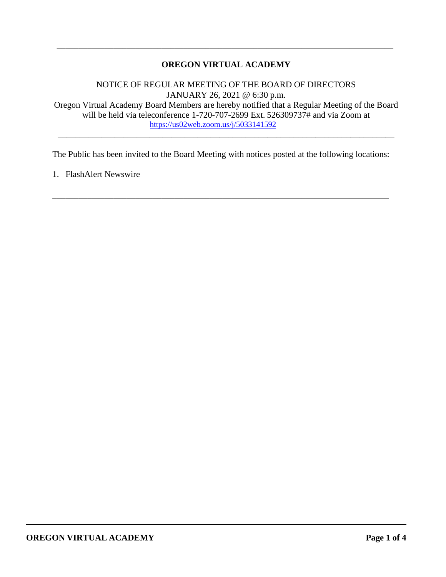# **OREGON VIRTUAL ACADEMY**

\_\_\_\_\_\_\_\_\_\_\_\_\_\_\_\_\_\_\_\_\_\_\_\_\_\_\_\_\_\_\_\_\_\_\_\_\_\_\_\_\_\_\_\_\_\_\_\_\_\_\_\_\_\_\_\_\_\_\_\_\_\_\_\_\_\_\_\_\_\_\_\_\_\_\_\_\_

NOTICE OF REGULAR MEETING OF THE BOARD OF DIRECTORS JANUARY 26, 2021 @ 6:30 p.m. Oregon Virtual Academy Board Members are hereby notified that a Regular Meeting of the Board will be held via teleconference 1-720-707-2699 Ext. 526309737# and via Zoom at <https://us02web.zoom.us/j/5033141592>

\_\_\_\_\_\_\_\_\_\_\_\_\_\_\_\_\_\_\_\_\_\_\_\_\_\_\_\_\_\_\_\_\_\_\_\_\_\_\_\_\_\_\_\_\_\_\_\_\_\_\_\_\_\_\_\_\_\_\_\_\_\_\_\_\_\_\_\_\_\_\_\_\_\_\_\_\_

The Public has been invited to the Board Meeting with notices posted at the following locations:

\_\_\_\_\_\_\_\_\_\_\_\_\_\_\_\_\_\_\_\_\_\_\_\_\_\_\_\_\_\_\_\_\_\_\_\_\_\_\_\_\_\_\_\_\_\_\_\_\_\_\_\_\_\_\_\_\_\_\_\_\_\_\_\_\_\_\_\_\_\_\_\_\_\_\_\_\_

1. FlashAlert Newswire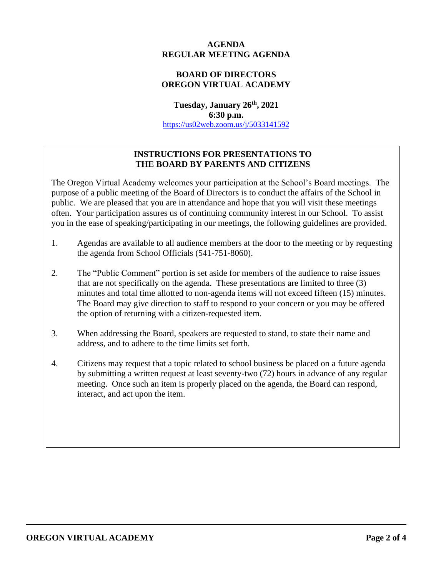## **AGENDA REGULAR MEETING AGENDA**

# **BOARD OF DIRECTORS OREGON VIRTUAL ACADEMY**

**Tuesday, January 26th, 2021 6:30 p.m.** <https://us02web.zoom.us/j/5033141592>

# **INSTRUCTIONS FOR PRESENTATIONS TO THE BOARD BY PARENTS AND CITIZENS**

The Oregon Virtual Academy welcomes your participation at the School's Board meetings. The purpose of a public meeting of the Board of Directors is to conduct the affairs of the School in public. We are pleased that you are in attendance and hope that you will visit these meetings often. Your participation assures us of continuing community interest in our School. To assist you in the ease of speaking/participating in our meetings, the following guidelines are provided.

- 1. Agendas are available to all audience members at the door to the meeting or by requesting the agenda from School Officials (541-751-8060).
- 2. The "Public Comment" portion is set aside for members of the audience to raise issues that are not specifically on the agenda. These presentations are limited to three (3) minutes and total time allotted to non-agenda items will not exceed fifteen (15) minutes. The Board may give direction to staff to respond to your concern or you may be offered the option of returning with a citizen-requested item.
- 3. When addressing the Board, speakers are requested to stand, to state their name and address, and to adhere to the time limits set forth.
- 4. Citizens may request that a topic related to school business be placed on a future agenda by submitting a written request at least seventy-two (72) hours in advance of any regular meeting. Once such an item is properly placed on the agenda, the Board can respond, interact, and act upon the item.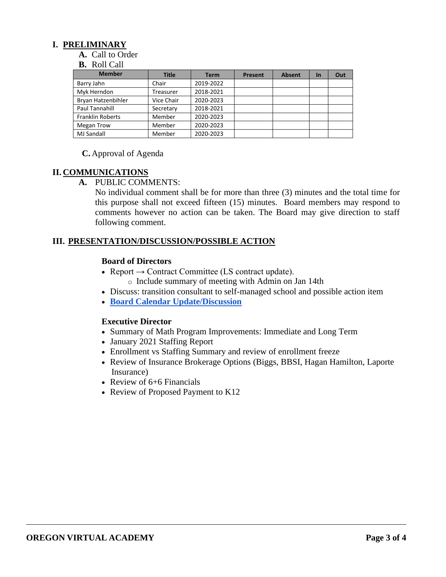## **I. PRELIMINARY**

**A.** Call to Order

#### **B.** Roll Call

| <b>Member</b>           | <b>Title</b> | <b>Term</b> | <b>Present</b> | <b>Absent</b> | <b>In</b> | Out |
|-------------------------|--------------|-------------|----------------|---------------|-----------|-----|
| Barry Jahn              | Chair        | 2019-2022   |                |               |           |     |
| Myk Herndon             | Treasurer    | 2018-2021   |                |               |           |     |
| Bryan Hatzenbihler      | Vice Chair   | 2020-2023   |                |               |           |     |
| Paul Tannahill          | Secretary    | 2018-2021   |                |               |           |     |
| <b>Franklin Roberts</b> | Member       | 2020-2023   |                |               |           |     |
| Megan Trow              | Member       | 2020-2023   |                |               |           |     |
| <b>MJ Sandall</b>       | Member       | 2020-2023   |                |               |           |     |

#### **C.** Approval of Agenda

### **II. COMMUNICATIONS**

### **A.** PUBLIC COMMENTS:

No individual comment shall be for more than three (3) minutes and the total time for this purpose shall not exceed fifteen (15) minutes. Board members may respond to comments however no action can be taken. The Board may give direction to staff following comment.

### **III. PRESENTATION/DISCUSSION/POSSIBLE ACTION**

#### **Board of Directors**

- Report  $\rightarrow$  Contract Committee (LS contract update).
	- o Include summary of meeting with Admin on Jan 14th
- Discuss: transition consultant to self-managed school and possible action item
- **[Board Calendar Update/Discussion](https://docs.google.com/document/d/1tVrSGJ6v5gCtv5NNlIoGCFS6zIGPmcuhm6aP9laESig/edit#bookmark=id.u7m8wbidwmnh)**

### **Executive Director**

- Summary of Math Program Improvements: Immediate and Long Term
- January 2021 Staffing Report
- Enrollment vs Staffing Summary and review of enrollment freeze
- Review of Insurance Brokerage Options (Biggs, BBSI, Hagan Hamilton, Laporte Insurance)
- Review of 6+6 Financials
- Review of Proposed Payment to K12